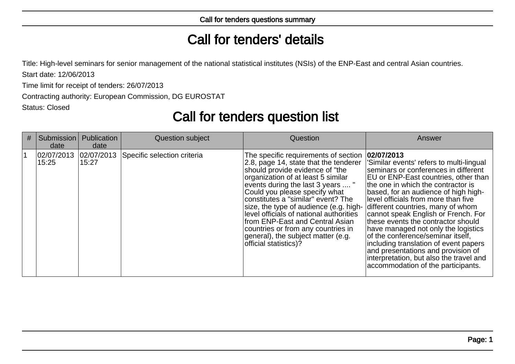## Call for tenders' details

Title: High-level seminars for senior management of the national statistical institutes (NSIs) of the ENP-East and central Asian countries.

Start date: 12/06/2013

Time limit for receipt of tenders: 26/07/2013

Contracting authority: European Commission, DG EUROSTAT

Status: Closed

## Call for tenders question list

| # | Submission<br>date  | Publication<br>date  | Question subject            | Question                                                                                                                                                                                                                                                                                                                                                                                                                                                                                        | Answer                                                                                                                                                                                                                                                                                                                                                                                                                                                                                                                                                                                                                           |
|---|---------------------|----------------------|-----------------------------|-------------------------------------------------------------------------------------------------------------------------------------------------------------------------------------------------------------------------------------------------------------------------------------------------------------------------------------------------------------------------------------------------------------------------------------------------------------------------------------------------|----------------------------------------------------------------------------------------------------------------------------------------------------------------------------------------------------------------------------------------------------------------------------------------------------------------------------------------------------------------------------------------------------------------------------------------------------------------------------------------------------------------------------------------------------------------------------------------------------------------------------------|
|   | 02/07/2013<br>15:25 | 02/07/2013 <br>15:27 | Specific selection criteria | The specific requirements of section<br>2.8, page 14, state that the tenderer<br>should provide evidence of "the<br>organization of at least 5 similar<br>events during the last 3 years  "<br>Could you please specify what<br>constitutes a "similar" event? The<br>size, the type of audience (e.g. high-<br>level officials of national authorities<br>from ENP-East and Central Asian<br>countries or from any countries in<br>general), the subject matter (e.g.<br>official statistics)? | 02/07/2013 <br>Similar events' refers to multi-lingual<br>seminars or conferences in different<br><b>EU</b> or ENP-East countries, other than<br>the one in which the contractor is<br>based, for an audience of high high-<br>level officials from more than five<br>different countries, many of whom<br>cannot speak English or French. For<br>these events the contractor should<br>have managed not only the logistics<br>of the conference/seminar itself.<br>including translation of event papers<br>and presentations and provision of<br>interpretation, but also the travel and<br>accommodation of the participants. |